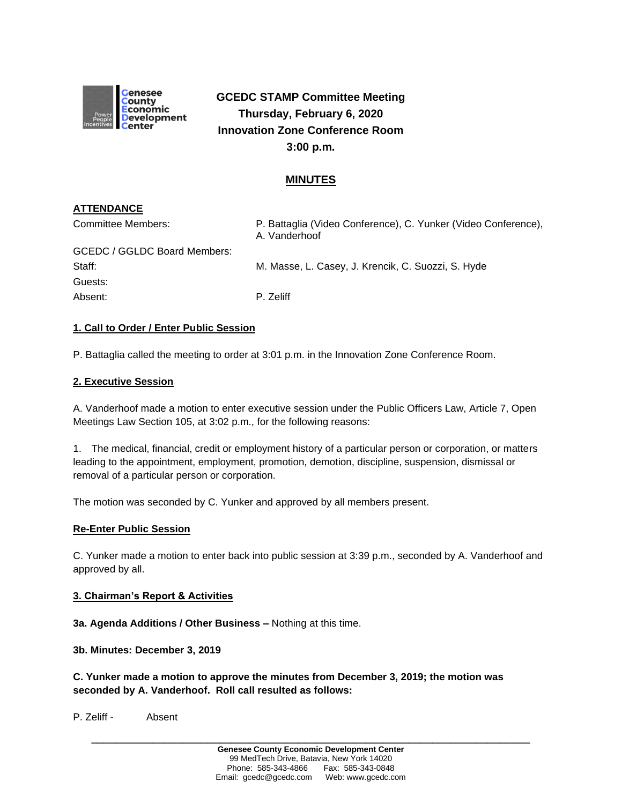

# **GCEDC STAMP Committee Meeting Thursday, February 6, 2020 Innovation Zone Conference Room 3:00 p.m.**

# **MINUTES**

# **ATTENDANCE**

| Committee Members:           | P. Battaglia (Video Conference), C. Yunker (Video Conference),<br>A. Vanderhoof |
|------------------------------|---------------------------------------------------------------------------------|
| GCEDC / GGLDC Board Members: |                                                                                 |
| Staff:                       | M. Masse, L. Casey, J. Krencik, C. Suozzi, S. Hyde                              |
| Guests:                      |                                                                                 |
| Absent:                      | P. Zeliff                                                                       |

### **1. Call to Order / Enter Public Session**

P. Battaglia called the meeting to order at 3:01 p.m. in the Innovation Zone Conference Room.

### **2. Executive Session**

A. Vanderhoof made a motion to enter executive session under the Public Officers Law, Article 7, Open Meetings Law Section 105, at 3:02 p.m., for the following reasons:

1. The medical, financial, credit or employment history of a particular person or corporation, or matters leading to the appointment, employment, promotion, demotion, discipline, suspension, dismissal or removal of a particular person or corporation.

The motion was seconded by C. Yunker and approved by all members present.

### **Re-Enter Public Session**

C. Yunker made a motion to enter back into public session at 3:39 p.m., seconded by A. Vanderhoof and approved by all.

### **3. Chairman's Report & Activities**

**3a. Agenda Additions / Other Business –** Nothing at this time.

**3b. Minutes: December 3, 2019** 

**C. Yunker made a motion to approve the minutes from December 3, 2019; the motion was seconded by A. Vanderhoof. Roll call resulted as follows:**

P. Zeliff - Absent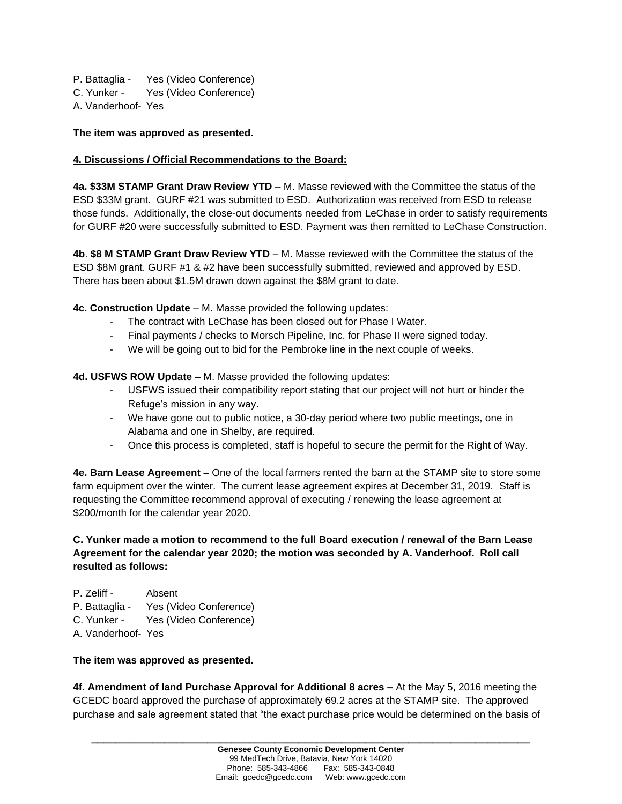P. Battaglia - Yes (Video Conference) C. Yunker - Yes (Video Conference) A. Vanderhoof- Yes

### **The item was approved as presented.**

### **4. Discussions / Official Recommendations to the Board:**

**4a. \$33M STAMP Grant Draw Review YTD** – M. Masse reviewed with the Committee the status of the ESD \$33M grant. GURF #21 was submitted to ESD. Authorization was received from ESD to release those funds. Additionally, the close-out documents needed from LeChase in order to satisfy requirements for GURF #20 were successfully submitted to ESD. Payment was then remitted to LeChase Construction.

**4b**. **\$8 M STAMP Grant Draw Review YTD** – M. Masse reviewed with the Committee the status of the ESD \$8M grant. GURF #1 & #2 have been successfully submitted, reviewed and approved by ESD. There has been about \$1.5M drawn down against the \$8M grant to date.

**4c. Construction Update** – M. Masse provided the following updates:

- The contract with LeChase has been closed out for Phase I Water.
- Final payments / checks to Morsch Pipeline, Inc. for Phase II were signed today.
- We will be going out to bid for the Pembroke line in the next couple of weeks.

**4d. USFWS ROW Update –** M. Masse provided the following updates:

- USFWS issued their compatibility report stating that our project will not hurt or hinder the Refuge's mission in any way.
- We have gone out to public notice, a 30-day period where two public meetings, one in Alabama and one in Shelby, are required.
- Once this process is completed, staff is hopeful to secure the permit for the Right of Way.

**4e. Barn Lease Agreement –** One of the local farmers rented the barn at the STAMP site to store some farm equipment over the winter. The current lease agreement expires at December 31, 2019. Staff is requesting the Committee recommend approval of executing / renewing the lease agreement at \$200/month for the calendar year 2020.

# **C. Yunker made a motion to recommend to the full Board execution / renewal of the Barn Lease Agreement for the calendar year 2020; the motion was seconded by A. Vanderhoof. Roll call resulted as follows:**

- P. Zeliff Absent
- P. Battaglia Yes (Video Conference)
- C. Yunker Yes (Video Conference)
- A. Vanderhoof- Yes

### **The item was approved as presented.**

**4f. Amendment of land Purchase Approval for Additional 8 acres –** At the May 5, 2016 meeting the GCEDC board approved the purchase of approximately 69.2 acres at the STAMP site. The approved purchase and sale agreement stated that "the exact purchase price would be determined on the basis of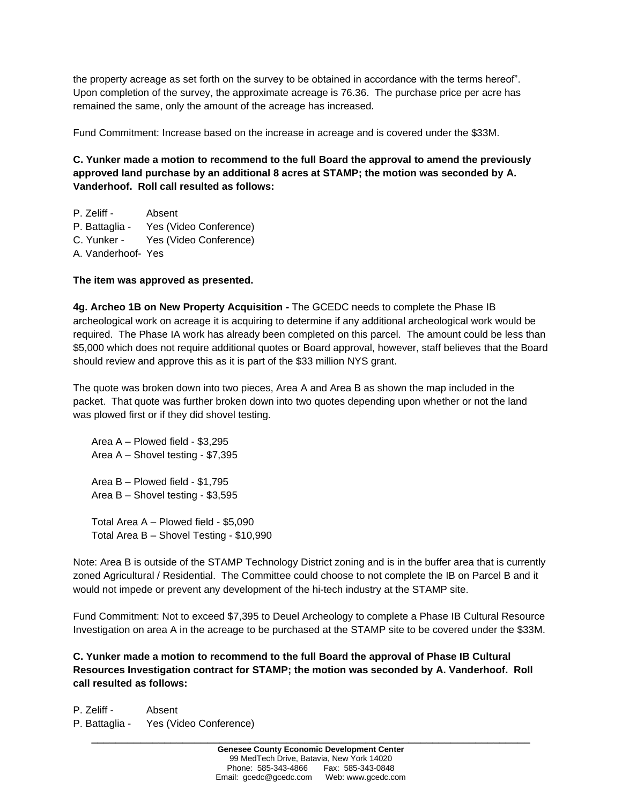the property acreage as set forth on the survey to be obtained in accordance with the terms hereof". Upon completion of the survey, the approximate acreage is 76.36. The purchase price per acre has remained the same, only the amount of the acreage has increased.

Fund Commitment: Increase based on the increase in acreage and is covered under the \$33M.

**C. Yunker made a motion to recommend to the full Board the approval to amend the previously approved land purchase by an additional 8 acres at STAMP; the motion was seconded by A. Vanderhoof. Roll call resulted as follows:**

P. Zeliff - Absent P. Battaglia - Yes (Video Conference) C. Yunker - Yes (Video Conference) A. Vanderhoof- Yes

# **The item was approved as presented.**

**4g. Archeo 1B on New Property Acquisition -** The GCEDC needs to complete the Phase IB archeological work on acreage it is acquiring to determine if any additional archeological work would be required. The Phase IA work has already been completed on this parcel. The amount could be less than \$5,000 which does not require additional quotes or Board approval, however, staff believes that the Board should review and approve this as it is part of the \$33 million NYS grant.

The quote was broken down into two pieces, Area A and Area B as shown the map included in the packet. That quote was further broken down into two quotes depending upon whether or not the land was plowed first or if they did shovel testing.

Area A – Plowed field - \$3,295 Area A – Shovel testing - \$7,395 Area B – Plowed field - \$1,795 Area B – Shovel testing - \$3,595

Total Area A – Plowed field - \$5,090 Total Area B – Shovel Testing - \$10,990

Note: Area B is outside of the STAMP Technology District zoning and is in the buffer area that is currently zoned Agricultural / Residential. The Committee could choose to not complete the IB on Parcel B and it would not impede or prevent any development of the hi-tech industry at the STAMP site.

Fund Commitment: Not to exceed \$7,395 to Deuel Archeology to complete a Phase IB Cultural Resource Investigation on area A in the acreage to be purchased at the STAMP site to be covered under the \$33M.

**C. Yunker made a motion to recommend to the full Board the approval of Phase IB Cultural Resources Investigation contract for STAMP; the motion was seconded by A. Vanderhoof. Roll call resulted as follows:**

P. Zeliff - Absent P. Battaglia - Yes (Video Conference)